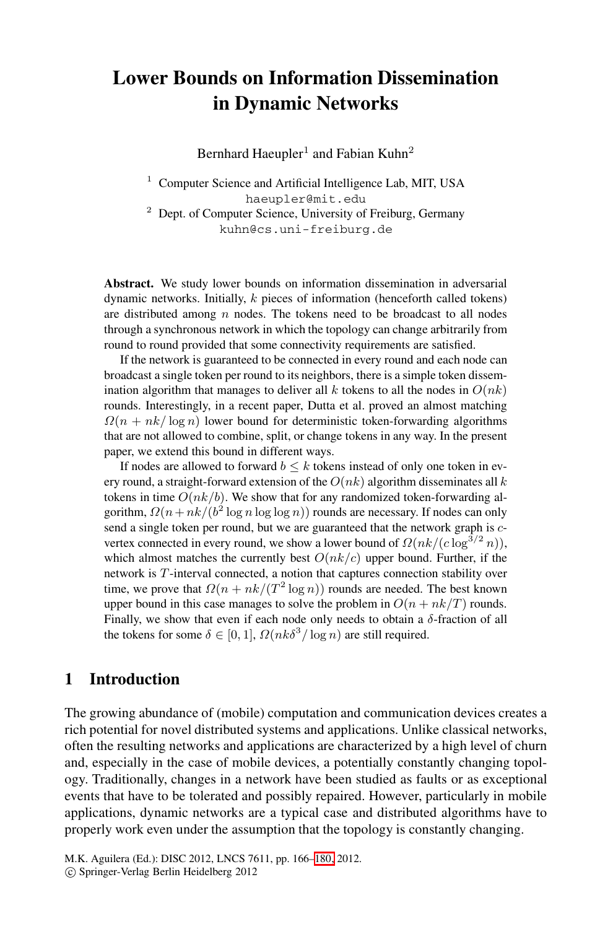# **Lower Bounds on Information Dissemination in Dynamic Networks**

Bernhard Haeupler<sup>1</sup> and Fabian Kuhn<sup>2</sup>

<sup>1</sup> Computer Science and Artificial Intelligence Lab, MIT, USA haeupler@mit.edu

<sup>2</sup> Dept. of Computer Science, University of Freiburg, Germany kuhn@cs.uni-freiburg.de

**Abstract.** We study lower bounds on information dissemination in adversarial dynamic networks. Initially, k pieces of information (henceforth called tokens) are distributed among  $n$  nodes. The tokens need to be broadcast to all nodes through a synchronous network in which the topology can change arbitrarily from round to round provided that some connectivity requirements are satisfied.

If the network is guaranteed to be connected in every round and each node can broadcast a single token per round to its neighbors, there is a simple token dissemination algorithm that manages to deliver all k tokens to all the nodes in  $O(nk)$ rounds. Interestingly, in a recent paper, Dutta et al. proved an almost matching  $\Omega(n + nk/\log n)$  lower bound for deterministic token-forwarding algorithms that are not allowed to combine, split, or change tokens in any way. In the present paper, we extend this bound in different ways.

If nodes are allowed to forward  $b \le k$  tokens instead of only one token in every round, a straight-forward extension of the  $O(nk)$  algorithm disseminates all k tokens in time  $O(nk/b)$ . We show that for any randomized token-forwarding algorithm,  $\Omega(n+nk/(b^2 \log n \log \log n))$  rounds are necessary. If nodes can only send a single token per round, but we are guaranteed that the network graph is cvertex connected in every round, we show a lower bound of  $\Omega(nk/(c \log^{3/2} n))$ , which almost matches the currently best  $O(nk/c)$  upper bound. Further, if the network is T -interval connected, a notion that captures connection stability over time, we prove that  $\Omega(n + nk/(T^2 \log n))$  rounds are needed. The best known upper bound in this case manages to solve the problem in  $O(n + nk/T)$  rounds. Finally, we show that even if each node only needs to obtain a  $\delta$ -fraction of all the tokens for some  $\delta \in [0, 1]$ ,  $\Omega(nk\delta^3/\log n)$  are still required.

# **1 Introduction**

The growing abundance of (mobile) computation and communication devices creates a rich potential for novel distributed systems and applications. Unlike classical networks, often the resulting networks and applications are characterized by a high level of churn and, especially in the case of mobile devices, a potentially constantly changing topology. Traditionally, changes in a network have been studied as faults or as exceptional events that have to be tolerated and possibly repaired. However, particularly in mobile applications, dynamic networks are a typical case and distributed algorithms have to properly work even under the assumption that the topology is constantly changing.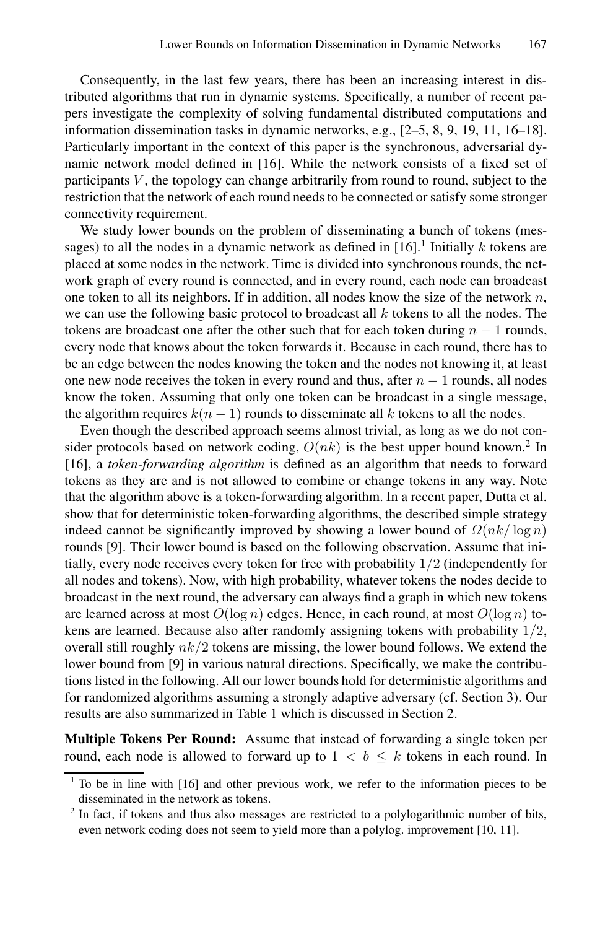Consequently, in the last few years, there has been an increasing interest in distributed algorithms that run in dynamic systems. Specifically, a number of recent papers investigate the complexity of solving fundamental distributed computations and information dissemination tasks in dynamic networks, e.g., [\[2](#page-14-1)[–5](#page-14-2), [8](#page-14-3), [9,](#page-14-4) [19](#page-14-5), [11](#page-14-6), [16](#page-14-7)[–18\]](#page-14-8). Particularly important in the context of this paper is the synchronous, adversarial dynamic network model defined in [\[16](#page-14-7)]. While the network consists of a fixed set of participants  $V$ , the topology can change arbitrarily from round to round, subject to the restriction that the network of each round needs to be connected or satisfy some stronger connectivity requirement.

We study lower bounds on the problem of disseminating a bunch of tokens (messages) to all the nodes in a dynamic network as defined in  $[16]$ .<sup>[1](#page-1-0)</sup> Initially k tokens are placed at some nodes in the network. Time is divided into synchronous rounds, the network graph of every round is connected, and in every round, each node can broadcast one token to all its neighbors. If in addition, all nodes know the size of the network  $n$ , we can use the following basic protocol to broadcast all  $k$  tokens to all the nodes. The tokens are broadcast one after the other such that for each token during  $n - 1$  rounds, every node that knows about the token forwards it. Because in each round, there has to be an edge between the nodes knowing the token and the nodes not knowing it, at least one new node receives the token in every round and thus, after  $n - 1$  rounds, all nodes know the token. Assuming that only one token can be broadcast in a single message, the algorithm requires  $k(n - 1)$  rounds to disseminate all k tokens to all the nodes.

Even though the described approach seems almost trivial, as long as we do not consider protocols based on network coding,  $O(nk)$  is the best upper bound known.<sup>[2](#page-1-1)</sup> In [\[16\]](#page-14-7), a *token-forwarding algorithm* is defined as an algorithm that needs to forward tokens as they are and is not allowed to combine or change tokens in any way. Note that the algorithm above is a token-forwarding algorithm. In a recent paper, Dutta et al. show that for deterministic token-forwarding algorithms, the described simple strategy indeed cannot be significantly improved by showing a lower bound of  $\Omega(nk/\log n)$ rounds [\[9\]](#page-14-4). Their lower bound is based on the following observation. Assume that initially, every node receives every token for free with probability 1/2 (independently for all nodes and tokens). Now, with high probability, whatever tokens the nodes decide to broadcast in the next round, the adversary can always find a graph in which new tokens are learned across at most  $O(\log n)$  edges. Hence, in each round, at most  $O(\log n)$  tokens are learned. Because also after randomly assigning tokens with probability 1/2, overall still roughly  $nk/2$  tokens are missing, the lower bound follows. We extend the lower bound from [\[9\]](#page-14-4) in various natural directions. Specifically, we make the contributions listed in the following. All our lower bounds hold for deterministic algorithms and for randomized algorithms assuming a strongly adaptive adversary (cf. Section [3\)](#page-4-0). Our results are also summarized in Table [1](#page-3-0) which is discussed in Section [2.](#page-2-0)

<span id="page-1-1"></span><span id="page-1-0"></span>**Multiple Tokens Per Round:** Assume that instead of forwarding a single token per round, each node is allowed to forward up to  $1 < b \le k$  tokens in each round. In

<sup>&</sup>lt;sup>1</sup> To be in line with [\[16\]](#page-14-7) and other previous work, we refer to the information pieces to be disseminated in the network as tokens.

 $2$  In fact, if tokens and thus also messages are restricted to a polylogarithmic number of bits, even network coding does not seem to yield more than a polylog. improvement [\[10,](#page-14-9) [11](#page-14-6)].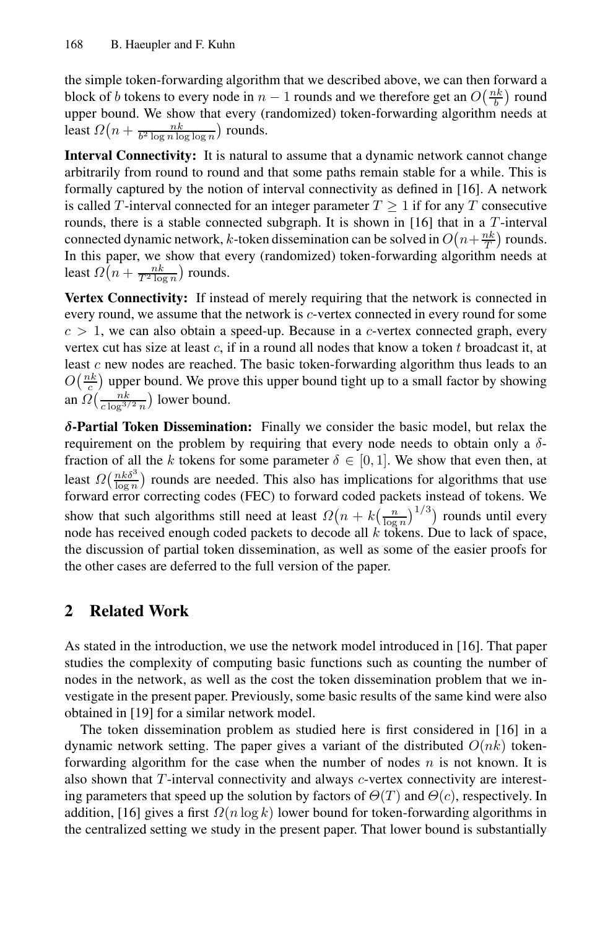the simple token-forwarding algorithm that we described above, we can then forward a block of b tokens to every node in  $n-1$  rounds and we therefore get an  $O(\frac{nk}{b})$  round upper bound. We show that every (randomized) token-forwarding algorithm needs at a least  $\Omega\left(n + \frac{nk}{b^2 \log n \log \log n}\right)$  rounds.

**Interval Connectivity:** It is natural to assume that a dynamic network cannot change arbitrarily from round to round and that some paths remain stable for a while. This is formally captured by the notion of interval connectivity as defined in [\[16\]](#page-14-7). A network is called T-interval connected for an integer parameter  $T > 1$  if for any T consecutive rounds, there is a stable connected subgraph. It is shown in [\[16](#page-14-7)] that in a T-interval connected dynamic network, k-token dissemination can be solved in  $O(n + \frac{nk}{T})$  rounds. In this paper, we show that every (randomized) token-forwarding algorithm needs at least  $\Omega\left(n + \frac{nk}{T^2 \log n}\right)$  rounds.

**Vertex Connectivity:** If instead of merely requiring that the network is connected in every round, we assume that the network is *c*-vertex connected in every round for some  $c > 1$ , we can also obtain a speed-up. Because in a c-vertex connected graph, every vertex cut has size at least  $c$ , if in a round all nodes that know a token  $t$  broadcast it, at least c new nodes are reached. The basic token-forwarding algorithm thus leads to an  $O(\frac{nk}{c})$  upper bound. We prove this upper bound tight up to a small factor by showing an  $\Omega\left(\frac{nk}{c\log^{3/2}n}\right)$  lower bound.

<span id="page-2-0"></span>δ**-Partial Token Dissemination:** Finally we consider the basic model, but relax the requirement on the problem by requiring that every node needs to obtain only a  $\delta$ fraction of all the k tokens for some parameter  $\delta \in [0,1]$ . We show that even then, at least  $\Omega\left(\frac{nk\delta^3}{\log n}\right)$  rounds are needed. This also has implications for algorithms that use forward error correcting codes (FEC) to forward coded packets instead of tokens. We show that such algorithms still need at least  $\Omega(n + k(\frac{n}{\log n})^{1/3})$  rounds until every node has received enough coded packets to decode all  $k$  tokens. Due to lack of space, the discussion of partial token dissemination, as well as some of the easier proofs for the other cases are deferred to the full version of the paper.

# **2 Related Work**

As stated in the introduction, we use the network model introduced in [\[16\]](#page-14-7). That paper studies the complexity of computing basic functions such as counting the number of nodes in the network, as well as the cost the token dissemination problem that we investigate in the present paper. Previously, some basic results of the same kind were also obtained in [\[19\]](#page-14-5) for a similar network model.

The token dissemination problem as studied here is first considered in [\[16\]](#page-14-7) in a dynamic network setting. The paper gives a variant of the distributed  $O(nk)$  tokenforwarding algorithm for the case when the number of nodes  $n$  is not known. It is also shown that  $T$ -interval connectivity and always  $c$ -vertex connectivity are interesting parameters that speed up the solution by factors of  $\Theta(T)$  and  $\Theta(c)$ , respectively. In addition, [\[16\]](#page-14-7) gives a first  $\Omega(n \log k)$  lower bound for token-forwarding algorithms in the centralized setting we study in the present paper. That lower bound is substantially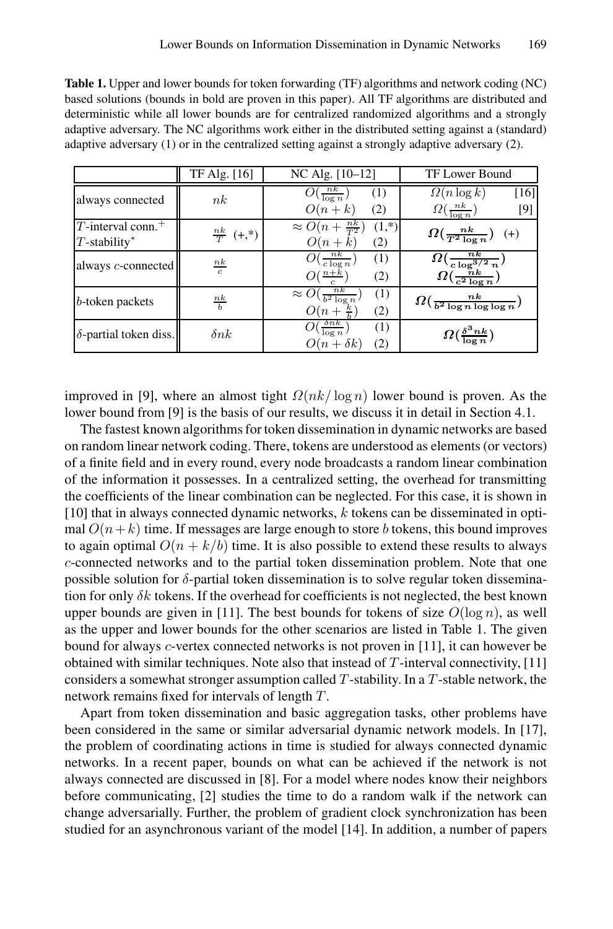<span id="page-3-0"></span>**Table 1.** Upper and lower bounds for token forwarding (TF) algorithms and network coding (NC) based solutions (bounds in bold are proven in this paper). All TF algorithms are distributed and deterministic while all lower bounds are for centralized randomized algorithms and a strongly adaptive adversary. The NC algorithms work either in the distributed setting against a (standard) adaptive adversary (1) or in the centralized setting against a strongly adaptive adversary (2).

|                                                     | TF Alg. [16]           | NC Alg. [10-12]                                                         | TF Lower Bound                                                      |
|-----------------------------------------------------|------------------------|-------------------------------------------------------------------------|---------------------------------------------------------------------|
| always connected                                    | nk                     | $O(\frac{nk}{\log n})$<br>(1)<br>$O(n+k)$<br>(2)                        | $\Omega(n \log k)$<br>[16]<br>$\Omega(\frac{nk}{\log n})$<br>$[9]$  |
| $T$ -interval conn. <sup>+</sup><br>$T$ -stability* | $\frac{nk}{T}$ $(+,*)$ | $\approx O(n+\frac{nk}{T^2})$<br>$(1,*)$<br>$O(n+k)$<br>(2)             | $\Omega(\frac{nk}{T^2 \log n})$ (+)                                 |
| always $c$ -connected                               | $\frac{nk}{c}$         | $O(\frac{nk}{c \log n})$<br>(1)<br>$O(\frac{n+k}{c})$<br>(2)            | $\Omega(\frac{nk}{c\log^{3/2}n})$<br>$\Omega(\frac{nk}{c^2\log n})$ |
| b-token packets                                     | $\frac{nk}{b}$         | $\approx O(\frac{n k}{b^2 \log n})$<br>(1)<br>$O(n+\frac{k}{b})$<br>(2) | $\Omega(\frac{nk}{b^2\log n\log\log n})$                            |
| $\delta$ -partial token diss.                       | $\delta nk$            | $O(\frac{\delta n k}{\log n})$<br>(1)<br>$O(n + \delta k)$<br>(2)       | $\Omega(\frac{\delta^3 n k}{\log n})$                               |

improved in [\[9](#page-14-4)], where an almost tight  $\Omega(nk/\log n)$  lower bound is proven. As the lower bound from [\[9\]](#page-14-4) is the basis of our results, we discuss it in detail in Section [4.1.](#page-5-0)

The fastest known algorithms for token dissemination in dynamic networks are based on random linear network coding. There, tokens are understood as elements (or vectors) of a finite field and in every round, every node broadcasts a random linear combination of the information it possesses. In a centralized setting, the overhead for transmitting the coefficients of the linear combination can be neglected. For this case, it is shown in  $[10]$  that in always connected dynamic networks,  $k$  tokens can be disseminated in optimal  $O(n+k)$  time. If messages are large enough to store b tokens, this bound improves to again optimal  $O(n + k/b)$  time. It is also possible to extend these results to always c-connected networks and to the partial token dissemination problem. Note that one possible solution for  $\delta$ -partial token dissemination is to solve regular token dissemination for only  $\delta k$  tokens. If the overhead for coefficients is not neglected, the best known upper bounds are given in [\[11\]](#page-14-6). The best bounds for tokens of size  $O(\log n)$ , as well as the upper and lower bounds for the other scenarios are listed in Table [1.](#page-3-0) The given bound for always c-vertex connected networks is not proven in [\[11\]](#page-14-6), it can however be obtained with similar techniques. Note also that instead of  $T$ -interval connectivity, [\[11\]](#page-14-6) considers a somewhat stronger assumption called  $T$ -stability. In a  $T$ -stable network, the network remains fixed for intervals of length T .

Apart from token dissemination and basic aggregation tasks, other problems have been considered in the same or similar adversarial dynamic network models. In [\[17\]](#page-14-11), the problem of coordinating actions in time is studied for always connected dynamic networks. In a recent paper, bounds on what can be achieved if the network is not always connected are discussed in [\[8](#page-14-3)]. For a model where nodes know their neighbors before communicating, [\[2\]](#page-14-1) studies the time to do a random walk if the network can change adversarially. Further, the problem of gradient clock synchronization has been studied for an asynchronous variant of the model [\[14](#page-14-12)]. In addition, a number of papers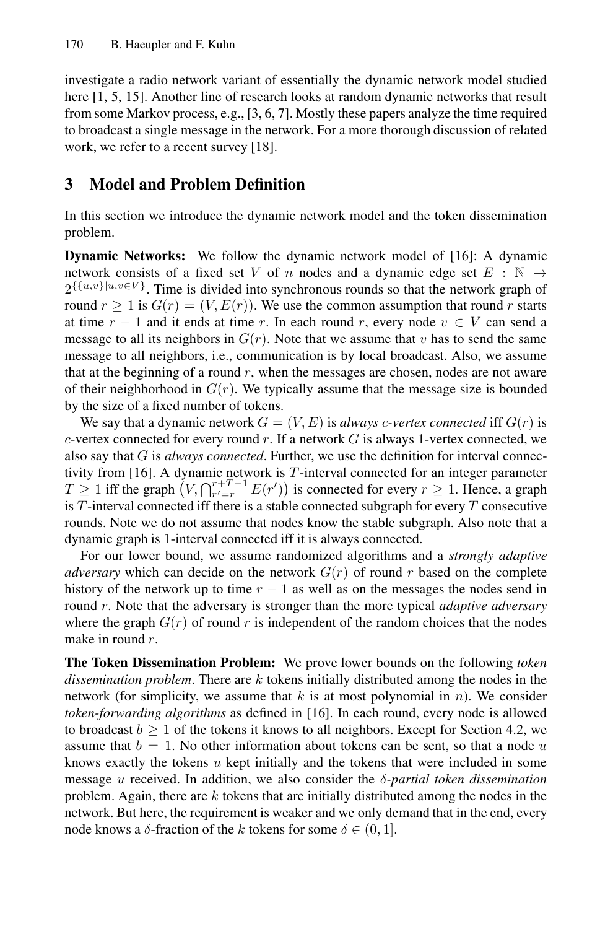<span id="page-4-0"></span>investigate a radio network variant of essentially the dynamic network model studied here [\[1,](#page-13-0) [5,](#page-14-2) [15](#page-14-13)]. Another line of research looks at random dynamic networks that result from some Markov process, e.g., [\[3,](#page-14-14) [6,](#page-14-15) [7](#page-14-16)]. Mostly these papers analyze the time required to broadcast a single message in the network. For a more thorough discussion of related work, we refer to a recent survey [\[18](#page-14-8)].

# **3 Model and Problem Definition**

In this section we introduce the dynamic network model and the token dissemination problem.

**Dynamic Networks:** We follow the dynamic network model of [\[16](#page-14-7)]: A dynamic network consists of a fixed set V of n nodes and a dynamic edge set  $E : \mathbb{N} \to$  $2^{\{\{u,v\}|u,v\in V\}}$ . Time is divided into synchronous rounds so that the network graph of round  $r \geq 1$  is  $G(r)=(V,E(r))$ . We use the common assumption that round r starts at time  $r - 1$  and it ends at time r. In each round r, every node  $v \in V$  can send a message to all its neighbors in  $G(r)$ . Note that we assume that v has to send the same message to all neighbors, i.e., communication is by local broadcast. Also, we assume that at the beginning of a round  $r$ , when the messages are chosen, nodes are not aware of their neighborhood in  $G(r)$ . We typically assume that the message size is bounded by the size of a fixed number of tokens.

We say that a dynamic network  $G = (V, E)$  is *always c-vertex connected* iff  $G(r)$  is c-vertex connected for every round  $r$ . If a network  $G$  is always 1-vertex connected, we also say that G is *always connected*. Further, we use the definition for interval connectivity from [\[16\]](#page-14-7). A dynamic network is T -interval connected for an integer parameter  $T \geq 1$  iff the graph  $(V, \bigcap_{r'=r}^{r+T-1} E(r'))$  is connected for every  $r \geq 1$ . Hence, a graph is  $T$ -interval connected iff there is a stable connected subgraph for every  $T$  consecutive rounds. Note we do not assume that nodes know the stable subgraph. Also note that a dynamic graph is 1-interval connected iff it is always connected.

For our lower bound, we assume randomized algorithms and a *strongly adaptive adversary* which can decide on the network  $G(r)$  of round r based on the complete history of the network up to time  $r - 1$  as well as on the messages the nodes send in round r. Note that the adversary is stronger than the more typical *adaptive adversary* where the graph  $G(r)$  of round r is independent of the random choices that the nodes make in round r.

**The Token Dissemination Problem:** We prove lower bounds on the following *token dissemination problem*. There are k tokens initially distributed among the nodes in the network (for simplicity, we assume that  $k$  is at most polynomial in n). We consider *token-forwarding algorithms* as defined in [\[16](#page-14-7)]. In each round, every node is allowed to broadcast  $b \ge 1$  of the tokens it knows to all neighbors. Except for Section [4.2,](#page-6-0) we assume that  $b = 1$ . No other information about tokens can be sent, so that a node u knows exactly the tokens  $u$  kept initially and the tokens that were included in some message u received. In addition, we also consider the δ*-partial token dissemination* problem. Again, there are k tokens that are initially distributed among the nodes in the network. But here, the requirement is weaker and we only demand that in the end, every node knows a δ-fraction of the k tokens for some  $\delta \in (0, 1]$ .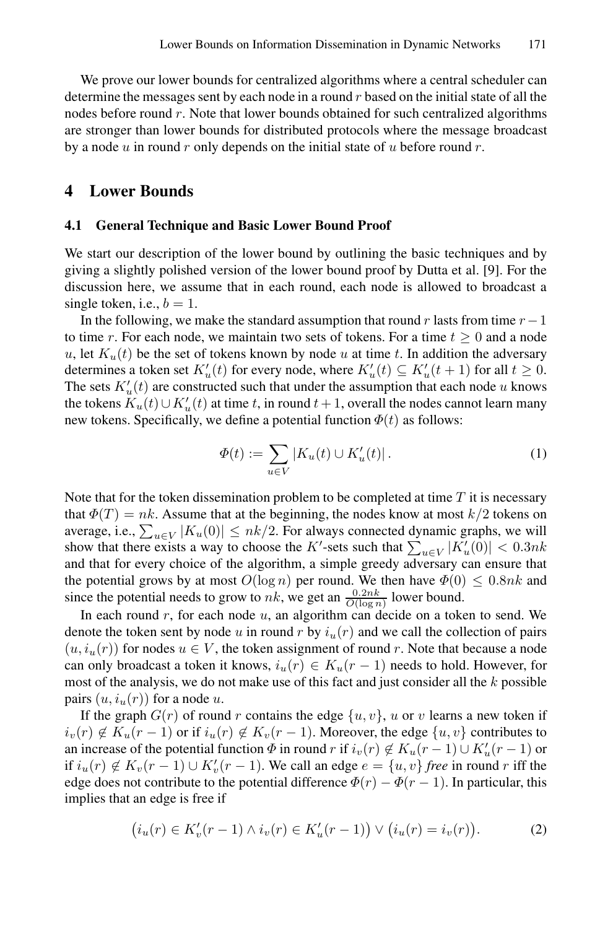<span id="page-5-0"></span>We prove our lower bounds for centralized algorithms where a central scheduler can determine the messages sent by each node in a round  $r$  based on the initial state of all the nodes before round  $r$ . Note that lower bounds obtained for such centralized algorithms are stronger than lower bounds for distributed protocols where the message broadcast by a node u in round r only depends on the initial state of u before round r.

### **4 Lower Bounds**

#### **4.1 General Technique and Basic Lower Bound Proof**

We start our description of the lower bound by outlining the basic techniques and by giving a slightly polished version of the lower bound proof by Dutta et al. [\[9\]](#page-14-4). For the discussion here, we assume that in each round, each node is allowed to broadcast a single token, i.e.,  $b = 1$ .

In the following, we make the standard assumption that round r lasts from time  $r-1$ to time r. For each node, we maintain two sets of tokens. For a time  $t \geq 0$  and a node u, let  $K_u(t)$  be the set of tokens known by node u at time t. In addition the adversary determines a token set  $K'_u(t)$  for every node, where  $K'_u(t) \subseteq K'_u(t+1)$  for all  $t \ge 0$ . The sets  $K'_u(t)$  are constructed such that under the assumption that each node u knows the tokens  $K_u(t) \cup K'_u(t)$  at time t, in round  $t + 1$ , overall the nodes cannot learn many new tokens. Specifically, we define a potential function  $\Phi(t)$  as follows:

$$
\Phi(t) := \sum_{u \in V} |K_u(t) \cup K'_u(t)|. \tag{1}
$$

Note that for the token dissemination problem to be completed at time  $T$  it is necessary that  $\Phi(T) = nk$ . Assume that at the beginning, the nodes know at most  $k/2$  tokens on average, i.e.,  $\sum_{u \in V} |K_u(0)| \leq nk/2$ . For always connected dynamic graphs, we will show that there exists a way to choose the K'-sets such that  $\sum_{u \in V} |K'_u(0)| < 0.3nk$ and that for every choice of the algorithm, a simple greedy adversary can ensure that the potential grows by at most  $O(\log n)$  per round. We then have  $\Phi(0) \leq 0.8nk$  and since the potential needs to grow to nk, we get an  $\frac{0.2nk}{O(\log n)}$  lower bound.

In each round  $r$ , for each node  $u$ , an algorithm can decide on a token to send. We denote the token sent by node u in round r by  $i_u(r)$  and we call the collection of pairs  $(u, i_u(r))$  for nodes  $u \in V$ , the token assignment of round r. Note that because a node can only broadcast a token it knows,  $i_u(r) \in K_u(r-1)$  needs to hold. However, for most of the analysis, we do not make use of this fact and just consider all the  $k$  possible pairs  $(u, i_u(r))$  for a node u.

If the graph  $G(r)$  of round r contains the edge  $\{u, v\}$ , u or v learns a new token if  $i_v(r) \notin K_u(r-1)$  or if  $i_u(r) \notin K_v(r-1)$ . Moreover, the edge  $\{u, v\}$  contributes to an increase of the potential function  $\Phi$  in round  $r$  if  $i_v(r) \notin K_u(r-1) \cup K'_u(r-1)$  or if  $i_u(r) \notin K_v(r-1) \cup K'_v(r-1)$ . We call an edge  $e = \{u, v\}$  *free* in round r iff the edge does not contribute to the potential difference  $\Phi(r) - \Phi(r-1)$ . In particular, this implies that an edge is free if

<span id="page-5-1"></span>
$$
(i_u(r) \in K'_v(r-1) \land i_v(r) \in K'_u(r-1)) \lor (i_u(r) = i_v(r)).
$$
 (2)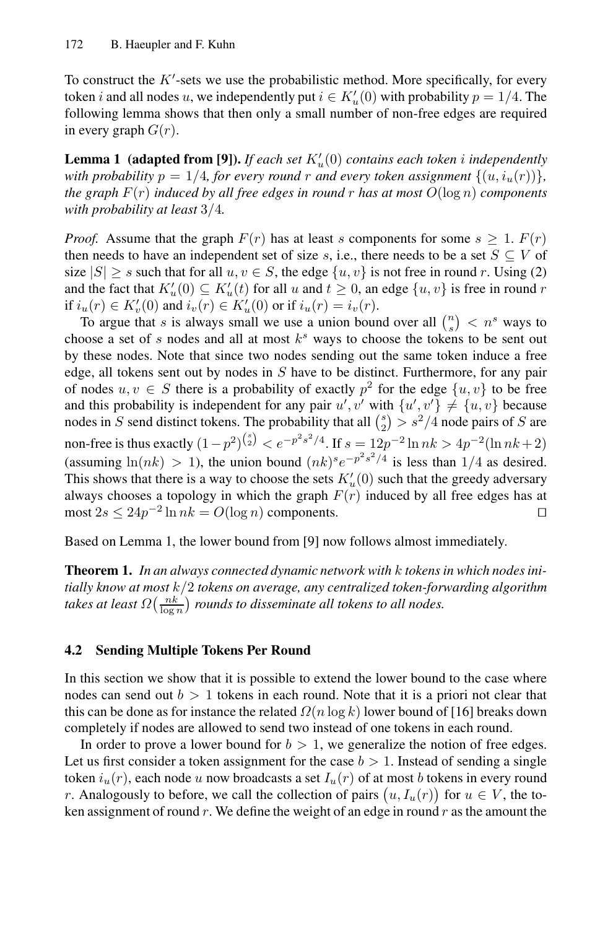<span id="page-6-1"></span>To construct the  $K'$ -sets we use the probabilistic method. More specifically, for every token *i* and all nodes u, we independently put  $i \in K'_u(0)$  with probability  $p = 1/4$ . The following lemma shows that then only a small number of non-free edges are required in every graph  $G(r)$ .

**Lemma 1 (adapted from [\[9\]](#page-14-4)).** *If each set* K′ <sup>u</sup>(0) *contains each token* i *independently with probability*  $p = 1/4$ *, for every round r and every token assignment*  $\{(u, i_u(r))\}$ *, the graph* F(r) *induced by all free edges in round* r *has at most* O(log n) *components with probability at least* 3/4*.*

*Proof.* Assume that the graph  $F(r)$  has at least s components for some  $s \geq 1$ .  $F(r)$ then needs to have an independent set of size s, i.e., there needs to be a set  $S \subseteq V$  of size  $|S| \geq s$  such that for all  $u, v \in S$ , the edge  $\{u, v\}$  is not free in round r. Using [\(2\)](#page-5-1) and the fact that  $K'_u(0) \subseteq K'_u(t)$  for all u and  $t \ge 0$ , an edge  $\{u, v\}$  is free in round r if  $i_u(r) \in K'_v(0)$  and  $i_v(r) \in K'_u(0)$  or if  $i_u(r) = i_v(r)$ .

<span id="page-6-2"></span>To argue that s is always small we use a union bound over all  $\binom{n}{s} < n^s$  ways to choose a set of s nodes and all at most  $k<sup>s</sup>$  ways to choose the tokens to be sent out by these nodes. Note that since two nodes sending out the same token induce a free edge, all tokens sent out by nodes in  $S$  have to be distinct. Furthermore, for any pair of nodes  $u, v \in S$  there is a probability of exactly  $p^2$  for the edge  $\{u, v\}$  to be free and this probability is independent for any pair  $u', v'$  with  $\{u', v'\} \neq \{u, v\}$  because nodes in S send distinct tokens. The probability that all  $\binom{s}{2} > s^2/4$  node pairs of S are non-free is thus exactly  $(1-p^2)^{{s \choose 2}} < e^{-p^2 s^2/4}$ . If  $s = 12p^{-2} \ln nk > 4p^{-2}(\ln nk + 2)$ (assuming ln(nk) > 1), the union bound  $(nk)^s e^{-p^2 s^2/4}$  is less than 1/4 as desired. This shows that there is a way to choose the sets  $K'_u(0)$  such that the greedy adversary always chooses a topology in which the graph  $F(r)$  induced by all free edges has at most  $2s \leq 24p^{-2} \ln nk = O(\log n)$  components. □

<span id="page-6-0"></span>Based on Lemma [1,](#page-6-1) the lower bound from [\[9\]](#page-14-4) now follows almost immediately.

**Theorem 1.** *In an always connected dynamic network with* k *tokens in which nodes initially know at most* k/2 *tokens on average, any centralized token-forwarding algorithm* takes at least  $\varOmega\big(\frac{nk}{\log n}\big)$  rounds to disseminate all tokens to all nodes.

## **4.2 Sending Multiple Tokens Per Round**

In this section we show that it is possible to extend the lower bound to the case where nodes can send out  $b > 1$  tokens in each round. Note that it is a priori not clear that this can be done as for instance the related  $\Omega(n \log k)$  lower bound of [\[16\]](#page-14-7) breaks down completely if nodes are allowed to send two instead of one tokens in each round.

In order to prove a lower bound for  $b > 1$ , we generalize the notion of free edges. Let us first consider a token assignment for the case  $b > 1$ . Instead of sending a single token  $i_u(r)$ , each node u now broadcasts a set  $I_u(r)$  of at most b tokens in every round r. Analogously to before, we call the collection of pairs  $(u, I_u(r))$  for  $u \in V$ , the token assignment of round  $r$ . We define the weight of an edge in round  $r$  as the amount the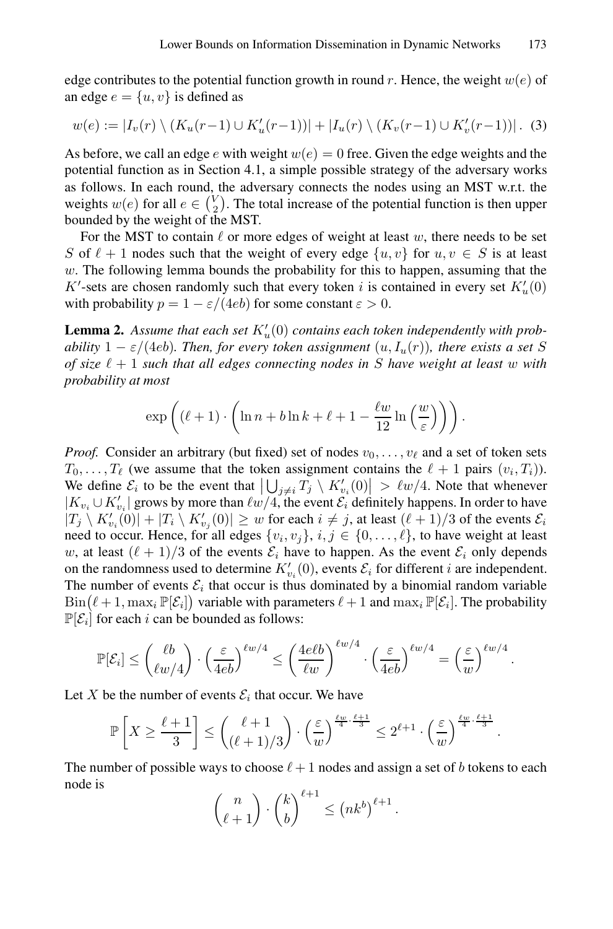edge contributes to the potential function growth in round r. Hence, the weight  $w(e)$  of an edge  $e = \{u, v\}$  is defined as

$$
w(e) := |I_v(r) \setminus (K_u(r-1) \cup K'_u(r-1))| + |I_u(r) \setminus (K_v(r-1) \cup K'_v(r-1))|.
$$
 (3)

<span id="page-7-0"></span>As before, we call an edge e with weight  $w(e)=0$  free. Given the edge weights and the potential function as in Section [4.1,](#page-5-0) a simple possible strategy of the adversary works as follows. In each round, the adversary connects the nodes using an MST w.r.t. the weights  $w(e)$  for all  $e \in {V \choose 2}$ . The total increase of the potential function is then upper bounded by the weight of the MST.

For the MST to contain  $\ell$  or more edges of weight at least w, there needs to be set S of  $\ell + 1$  nodes such that the weight of every edge  $\{u, v\}$  for  $u, v \in S$  is at least  $w$ . The following lemma bounds the probability for this to happen, assuming that the K'-sets are chosen randomly such that every token i is contained in every set  $K'_u(0)$ with probability  $p = 1 - \varepsilon/(4eb)$  for some constant  $\varepsilon > 0$ .

**Lemma 2.** Assume that each set  $K'_u(0)$  contains each token independently with prob*ability*  $1 - \varepsilon/(4eb)$ *. Then, for every token assignment*  $(u, I_u(r))$ *, there exists a set* S *of size*  $\ell + 1$  *such that all edges connecting nodes in* S *have weight at least* w *with probability at most*

$$
\exp\left((\ell+1)\cdot\left(\ln n + b\ln k + \ell + 1 - \frac{\ell w}{12}\ln\left(\frac{w}{\varepsilon}\right)\right)\right).
$$

*Proof.* Consider an arbitrary (but fixed) set of nodes  $v_0, \ldots, v_\ell$  and a set of token sets  $T_0, \ldots, T_\ell$  (we assume that the token assignment contains the  $\ell + 1$  pairs  $(v_i, T_i)$ ). We define  $\mathcal{E}_i$  to be the event that  $\left| \bigcup_{j \neq i} T_j \setminus K'_{v_i}(0) \right| > \ell w/4$ . Note that whenever  $|K_{v_i} \cup K'_{v_i}|$  grows by more than  $\ell w/4$ , the event  $\mathcal{E}_i$  definitely happens. In order to have  $|T_j \setminus K'_{v_i}(0)| + |T_i \setminus K'_{v_j}(0)| \geq w$  for each  $i \neq j$ , at least  $(\ell + 1)/3$  of the events  $\mathcal{E}_i$ need to occur. Hence, for all edges  $\{v_i, v_j\}, i, j \in \{0, \ldots, \ell\}$ , to have weight at least w, at least  $(\ell + 1)/3$  of the events  $\mathcal{E}_i$  have to happen. As the event  $\mathcal{E}_i$  only depends on the randomness used to determine  $K'_{v_i}(0)$ , events  $\mathcal{E}_i$  for different i are independent. The number of events  $\mathcal{E}_i$  that occur is thus dominated by a binomial random variable  $\text{Bin}(\ell+1, \max_i \mathbb{P}[\mathcal{E}_i])$  variable with parameters  $\ell+1$  and  $\max_i \mathbb{P}[\mathcal{E}_i]$ . The probability  $\mathbb{P}[\mathcal{E}_i]$  for each i can be bounded as follows:

$$
\mathbb{P}[\mathcal{E}_i] \le \binom{\ell b}{\ell w/4} \cdot \left(\frac{\varepsilon}{4eb}\right)^{\ell w/4} \le \left(\frac{4e\ell b}{\ell w}\right)^{\ell w/4} \cdot \left(\frac{\varepsilon}{4eb}\right)^{\ell w/4} = \left(\frac{\varepsilon}{w}\right)^{\ell w/4}
$$

.

.

Let X be the number of events  $\mathcal{E}_i$  that occur. We have

$$
\mathbb{P}\left[X \ge \frac{\ell+1}{3}\right] \le \binom{\ell+1}{(\ell+1)/3} \cdot \left(\frac{\varepsilon}{w}\right)^{\frac{\ell w}{4} \cdot \frac{\ell+1}{3}} \le 2^{\ell+1} \cdot \left(\frac{\varepsilon}{w}\right)^{\frac{\ell w}{4} \cdot \frac{\ell+1}{3}}
$$

The number of possible ways to choose  $\ell + 1$  nodes and assign a set of b tokens to each node is

$$
\binom{n}{\ell+1} \cdot \binom{k}{b}^{\ell+1} \le (nk^b)^{\ell+1}.
$$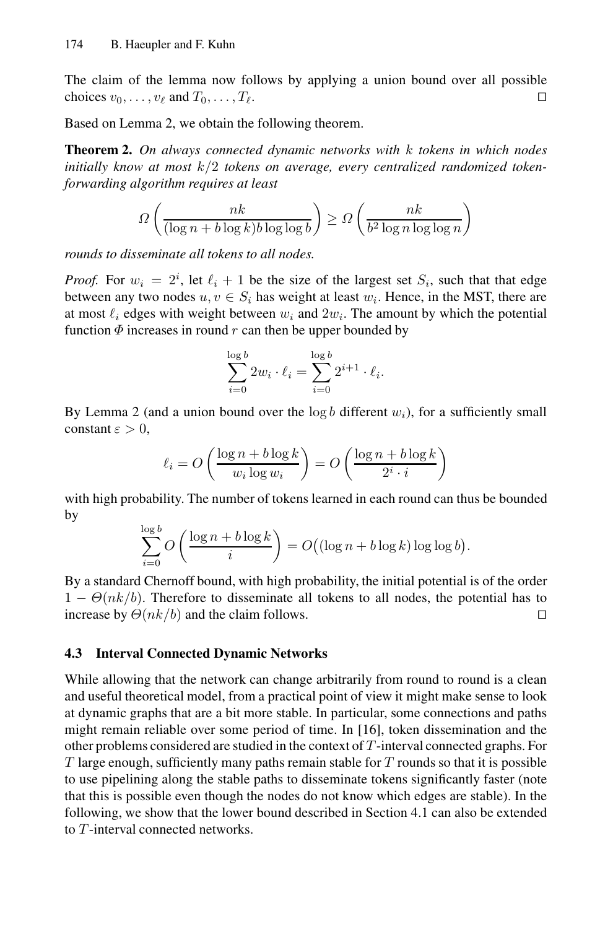The claim of the lemma now follows by applying a union bound over all possible choices  $v_0, \ldots, v_\ell$  and  $T_0, \ldots, T_\ell$ . □

Based on Lemma [2,](#page-7-0) we obtain the following theorem.

**Theorem 2.** *On always connected dynamic networks with* k *tokens in which nodes initially know at most* k/2 *tokens on average, every centralized randomized tokenforwarding algorithm requires at least*

$$
\Omega\left(\frac{nk}{(\log n + b\log k)b\log\log b}\right) \ge \Omega\left(\frac{nk}{b^2\log n\log\log n}\right)
$$

*rounds to disseminate all tokens to all nodes.*

*Proof.* For  $w_i = 2^i$ , let  $\ell_i + 1$  be the size of the largest set  $S_i$ , such that that edge between any two nodes  $u, v \in S_i$  has weight at least  $w_i$ . Hence, in the MST, there are at most  $\ell_i$  edges with weight between  $w_i$  and  $2w_i$ . The amount by which the potential function  $\Phi$  increases in round r can then be upper bounded by

$$
\sum_{i=0}^{\log b} 2w_i \cdot \ell_i = \sum_{i=0}^{\log b} 2^{i+1} \cdot \ell_i.
$$

By Lemma [2](#page-7-0) (and a union bound over the  $log b$  different  $w_i$ ), for a sufficiently small constant  $\varepsilon > 0$ ,

$$
\ell_i = O\left(\frac{\log n + b \log k}{w_i \log w_i}\right) = O\left(\frac{\log n + b \log k}{2^i \cdot i}\right)
$$

with high probability. The number of tokens learned in each round can thus be bounded by

$$
\sum_{i=0}^{\log b} O\left(\frac{\log n + b \log k}{i}\right) = O\left((\log n + b \log k)\log \log b\right).
$$

By a standard Chernoff bound, with high probability, the initial potential is of the order  $1 - \Theta(nk/b)$ . Therefore to disseminate all tokens to all nodes, the potential has to increase by  $\Theta(nk/b)$  and the claim follows. increase by  $\Theta(nk/b)$  and the claim follows.

#### **4.3 Interval Connected Dynamic Networks**

While allowing that the network can change arbitrarily from round to round is a clean and useful theoretical model, from a practical point of view it might make sense to look at dynamic graphs that are a bit more stable. In particular, some connections and paths might remain reliable over some period of time. In [\[16\]](#page-14-7), token dissemination and the other problems considered are studied in the context of  $T$ -interval connected graphs. For  $T$  large enough, sufficiently many paths remain stable for  $T$  rounds so that it is possible to use pipelining along the stable paths to disseminate tokens significantly faster (note that this is possible even though the nodes do not know which edges are stable). In the following, we show that the lower bound described in Section [4.1](#page-5-0) can also be extended to T -interval connected networks.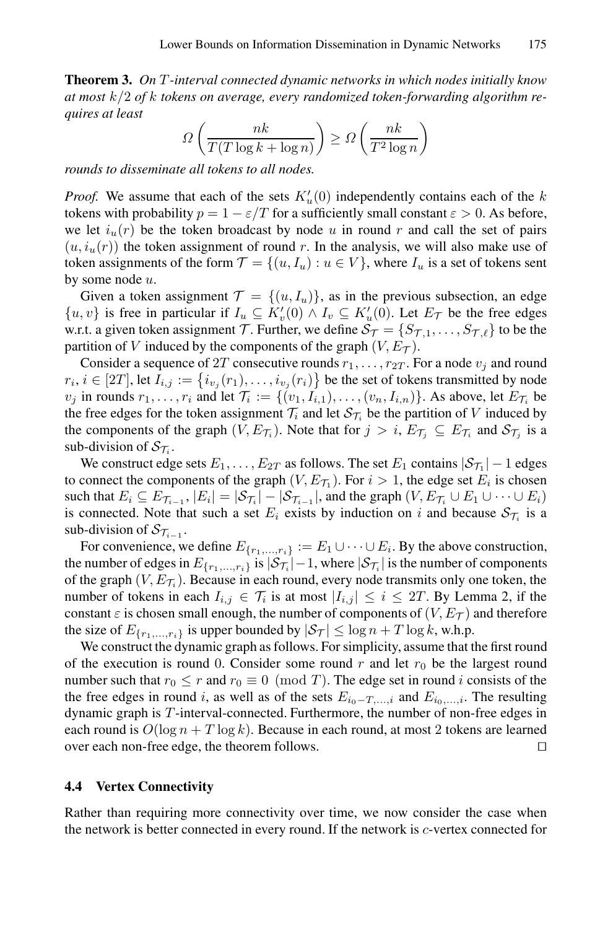**Theorem 3.** *On* T *-interval connected dynamic networks in which nodes initially know at most* k/2 *of* k *tokens on average, every randomized token-forwarding algorithm requires at least*

$$
\Omega\left(\frac{nk}{T(T\log k + \log n)}\right) \ge \Omega\left(\frac{nk}{T^2\log n}\right)
$$

*rounds to disseminate all tokens to all nodes.*

*Proof.* We assume that each of the sets  $K'_u(0)$  independently contains each of the k tokens with probability  $p = 1 - \varepsilon/T$  for a sufficiently small constant  $\varepsilon > 0$ . As before, we let  $i_u(r)$  be the token broadcast by node u in round r and call the set of pairs  $(u, i_u(r))$  the token assignment of round r. In the analysis, we will also make use of token assignments of the form  $\mathcal{T} = \{(u, I_u) : u \in V\}$ , where  $I_u$  is a set of tokens sent by some node u.

Given a token assignment  $\mathcal{T} = \{(u, I_u)\}\$ , as in the previous subsection, an edge  $\{u, v\}$  is free in particular if  $I_u \subseteq K'_v(0) \wedge I_v \subseteq K'_u(0)$ . Let  $E_{\mathcal{T}}$  be the free edges w.r.t. a given token assignment T. Further, we define  $S_{\mathcal{T}} = \{S_{\mathcal{T},1}, \ldots, S_{\mathcal{T}, \ell}\}\$  to be the partition of V induced by the components of the graph  $(V, E_T)$ .

Consider a sequence of 2T consecutive rounds  $r_1, \ldots, r_{2T}$ . For a node  $v_j$  and round  $r_i, i \in [2T]$ , let  $I_{i,j} := \{i_{v_j}(r_1), \ldots, i_{v_j}(r_i)\}$  be the set of tokens transmitted by node  $v_j$  in rounds  $r_1,\ldots,r_i$  and let  $\mathcal{T}_i := \{(v_1,\tilde{I}_{i,1}),\ldots,(v_n,\tilde{I}_{i,n})\}$ . As above, let  $E_{\mathcal{T}_i}$  be the free edges for the token assignment  $\mathcal{T}_i$  and let  $\mathcal{S}_{\mathcal{T}_i}$  be the partition of V induced by the components of the graph  $(V, E_{\mathcal{T}_i})$ . Note that for  $j>i$ ,  $E_{\mathcal{T}_i} \subseteq E_{\mathcal{T}_i}$  and  $S_{\mathcal{T}_i}$  is a sub-division of  $S_{\mathcal{T}_i}$ .

We construct edge sets  $E_1,\ldots,E_{2T}$  as follows. The set  $E_1$  contains  $|\mathcal{S}_{\mathcal{T}_1}| - 1$  edges to connect the components of the graph  $(V, E_{\mathcal{T}_1})$ . For  $i > 1$ , the edge set  $E_i$  is chosen such that  $E_i \subseteq E_{\mathcal{T}_{i-1}}$ ,  $|E_i| = |\mathcal{S}_{\mathcal{T}_i}| - |\mathcal{S}_{\mathcal{T}_{i-1}}|$ , and the graph  $(V, E_{\mathcal{T}_i} \cup E_1 \cup \cdots \cup E_i)$ is connected. Note that such a set  $E_i$  exists by induction on i and because  $S_{\mathcal{T}_i}$  is a sub-division of  $S_{\mathcal{T}_{i-1}}$ .

For convenience, we define  $E_{\{r_1,...,r_i\}} := E_1 \cup \cdots \cup E_i$ . By the above construction, the number of edges in  $E_{\{r_1,...,r_i\}}$  is  $|\mathcal{S}_{\mathcal{T}_i}|-1$ , where  $|\mathcal{S}_{\mathcal{T}_i}|$  is the number of components of the graph  $(V, E_{\mathcal{T}_i})$ . Because in each round, every node transmits only one token, the number of tokens in each  $I_{i,j} \in \mathcal{T}_i$  is at most  $|I_{i,j}| \leq i \leq 2T$ . By Lemma [2,](#page-7-0) if the constant  $\varepsilon$  is chosen small enough, the number of components of  $(V, E_{\mathcal{T}})$  and therefore the size of  $E_{\{r_1,...,r_i\}}$  is upper bounded by  $|\mathcal{S}_{\mathcal{T}}| \leq \log n + T \log k$ , w.h.p.

We construct the dynamic graph as follows. For simplicity, assume that the first round of the execution is round 0. Consider some round r and let  $r_0$  be the largest round number such that  $r_0 \leq r$  and  $r_0 \equiv 0 \pmod{T}$ . The edge set in round i consists of the the free edges in round i, as well as of the sets  $E_{i_0-T,\dots,i}$  and  $E_{i_0,\dots,i}$ . The resulting dynamic graph is T -interval-connected. Furthermore, the number of non-free edges in each round is  $O(\log n + T \log k)$ . Because in each round, at most 2 tokens are learned over each non-free edge, the theorem follows. □

#### **4.4 Vertex Connectivity**

Rather than requiring more connectivity over time, we now consider the case when the network is better connected in every round. If the network is c-vertex connected for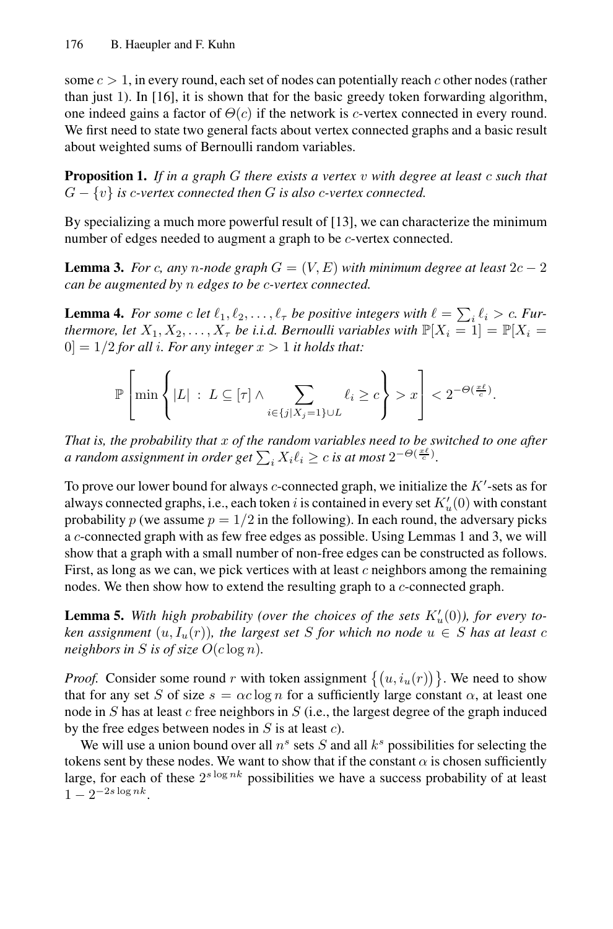<span id="page-10-1"></span><span id="page-10-0"></span>some  $c > 1$ , in every round, each set of nodes can potentially reach c other nodes (rather than just 1). In [\[16](#page-14-7)], it is shown that for the basic greedy token forwarding algorithm, one indeed gains a factor of  $\Theta(c)$  if the network is c-vertex connected in every round. We first need to state two general facts about vertex connected graphs and a basic result about weighted sums of Bernoulli random variables.

<span id="page-10-3"></span>**Proposition 1.** *If in a graph* G *there exists a vertex* v *with degree at least* c *such that*  $G - \{v\}$  *is c-vertex connected then* G *is also c-vertex connected.* 

By specializing a much more powerful result of [\[13\]](#page-14-17), we can characterize the minimum number of edges needed to augment a graph to be *c*-vertex connected.

**Lemma 3.** *For* c, any n-node graph  $G = (V, E)$  with minimum degree at least  $2c - 2$ *can be augmented by* n *edges to be* c*-vertex connected.*

**Lemma 4.** For some c let  $\ell_1, \ell_2, \ldots, \ell_{\tau}$  be positive integers with  $\ell = \sum_i \ell_i > c$ . Fur*thermore, let*  $X_1, X_2, \ldots, X_\tau$  *be i.i.d. Bernoulli variables with*  $\mathbb{P}[X_i = 1] = \mathbb{P}[X_i =$  $[0] = 1/2$  *for all i. For any integer*  $x > 1$  *it holds that:* 

$$
\mathbb{P}\left[\min\left\{|L| \ : \ L\subseteq[\tau]\wedge\sum_{i\in\{j|X_j=1\}\cup L}\ell_i\geq c\right\} > x\right] < 2^{-\Theta(\frac{x\ell}{c})}.
$$

*That is, the probability that* x *of the random variables need to be switched to one after a random assignment in order get*  $\sum_i X_i \ell_i \geq c$  *is at most*  $2^{-\Theta(\frac{x\ell}{c})}$ .

<span id="page-10-2"></span>To prove our lower bound for always  $c$ -connected graph, we initialize the  $K^\prime$ -sets as for always connected graphs, i.e., each token  $i$  is contained in every set  $K'_u(0)$  with constant probability p (we assume  $p = 1/2$  in the following). In each round, the adversary picks a c-connected graph with as few free edges as possible. Using Lemmas [1](#page-10-0) and [3,](#page-10-1) we will show that a graph with a small number of non-free edges can be constructed as follows. First, as long as we can, we pick vertices with at least  $c$  neighbors among the remaining nodes. We then show how to extend the resulting graph to a c-connected graph.

**Lemma 5.** With high probability (over the choices of the sets  $K'_u(0)$ ), for every to*ken assignment*  $(u, I_u(r))$ *, the largest set* S *for which no node*  $u \in S$  *has at least* c *neighbors in* S *is of size*  $O(c \log n)$ *.* 

*Proof.* Consider some round r with token assignment  $\{(u, i_u(r))\}$ . We need to show that for any set S of size  $s = \alpha c \log n$  for a sufficiently large constant  $\alpha$ , at least one node in S has at least c free neighbors in S (i.e., the largest degree of the graph induced by the free edges between nodes in  $S$  is at least  $c$ ).

We will use a union bound over all  $n<sup>s</sup>$  sets S and all  $k<sup>s</sup>$  possibilities for selecting the tokens sent by these nodes. We want to show that if the constant  $\alpha$  is chosen sufficiently large, for each of these  $2^{s \log nk}$  possibilities we have a success probability of at least  $1 - 2^{-2s \log nk}$ .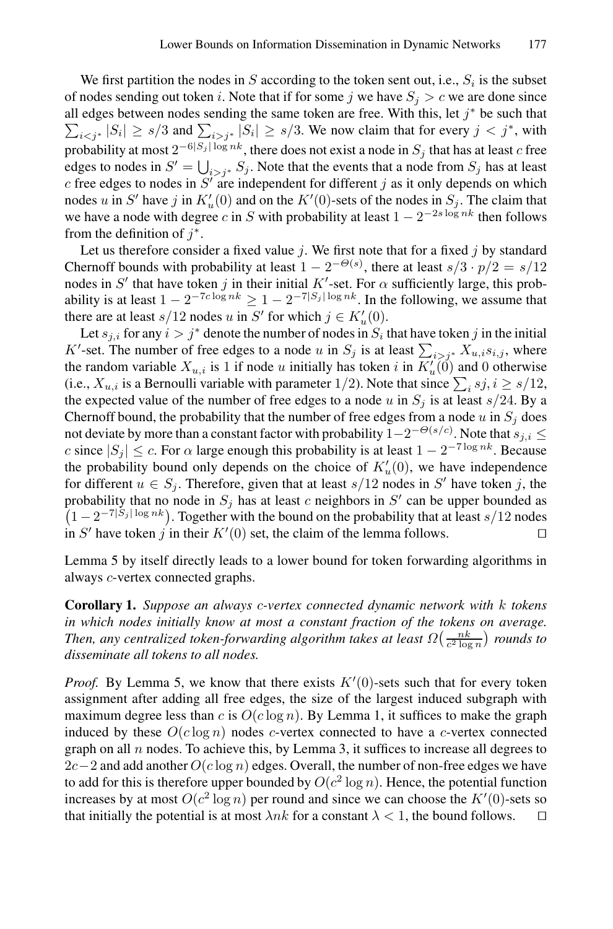We first partition the nodes in  $S$  according to the token sent out, i.e.,  $S_i$  is the subset of nodes sending out token i. Note that if for some j we have  $S_i > c$  we are done since all edges between nodes sending the same token are free. With this, let  $j^*$  be such that  $\sum_{i < j^*} |S_i| \ge s/3$  and  $\sum_{i > j^*} |S_i| \ge s/3$ . We now claim that for every  $j < j^*$ , with probability at most  $2^{-6|S_j| \log nk}$ , there does not exist a node in  $S_j$  that has at least c free edges to nodes in  $S' = \bigcup_{i>j^*} S_j$ . Note that the events that a node from  $S_j$  has at least c free edges to nodes in  $S^{\prime}$  are independent for different j as it only depends on which nodes u in S' have j in  $K'_u(0)$  and on the  $K'(0)$ -sets of the nodes in  $S_j$ . The claim that we have a node with degree c in S with probability at least  $1 - 2^{-2s \log nk}$  then follows from the definition of  $i^*$ .

Let us therefore consider a fixed value  $j$ . We first note that for a fixed  $j$  by standard Chernoff bounds with probability at least  $1 - 2^{-\Theta(s)}$ , there at least  $s/3 \cdot p/2 = s/12$ nodes in S' that have token j in their initial K'-set. For  $\alpha$  sufficiently large, this probability is at least  $1 - 2^{-7c \log nk} \ge 1 - 2^{-7|S_j| \log nk}$ . In the following, we assume that there are at least  $s/12$  nodes u in S' for which  $j \in K'_u(0)$ .

Let  $s_{i,i}$  for any  $i>j^*$  denote the number of nodes in  $S_i$  that have token j in the initial K'-set. The number of free edges to a node u in  $S_j$  is at least  $\sum_{i \geq j^*} X_{u,i} s_{i,j}$ , where the random variable  $X_{u,i}$  is 1 if node u initially has token i in  $K'_u(\vec{0})$  and 0 otherwise (i.e.,  $X_{u,i}$  is a Bernoulli variable with parameter 1/2). Note that since  $\sum_i s_j, i \ge s/12$ , the expected value of the number of free edges to a node u in  $S_i$  is at least  $s/24$ . By a Chernoff bound, the probability that the number of free edges from a node u in  $S_i$  does not deviate by more than a constant factor with probability  $1-2^{-\Theta(s/c)}$ . Note that  $s_{j,i} \leq$ c since  $|S_i| \leq c$ . For  $\alpha$  large enough this probability is at least  $1 - 2^{-7 \log nk}$ . Because the probability bound only depends on the choice of  $K'_u(0)$ , we have independence for different  $u \in S_i$ . Therefore, given that at least  $s/12$  nodes in S' have token j, the probability that no node in  $S_j$  has at least c neighbors in  $S'$  can be upper bounded as  $(1-2^{-7|S_j|\log nk})$ . Together with the bound on the probability that at least s/12 nodes in S' have token j in their  $K'(0)$  set, the claim of the lemma follows. □

Lemma [5](#page-10-2) by itself directly leads to a lower bound for token forwarding algorithms in always c-vertex connected graphs.

**Corollary 1.** *Suppose an always* c*-vertex connected dynamic network with* k *tokens in which nodes initially know at most a constant fraction of the tokens on average. Then, any centralized token-forwarding algorithm takes at least*  $\Omega\left(\frac{nk}{c^2\log n}\right)$  rounds to *disseminate all tokens to all nodes.*

*Proof.* By Lemma [5,](#page-10-2) we know that there exists  $K'(0)$ -sets such that for every token assignment after adding all free edges, the size of the largest induced subgraph with maximum degree less than c is  $O(c \log n)$ . By Lemma [1,](#page-10-0) it suffices to make the graph induced by these  $O(c \log n)$  nodes c-vertex connected to have a c-vertex connected graph on all  $n$  nodes. To achieve this, by Lemma [3,](#page-10-1) it suffices to increase all degrees to  $2c-2$  and add another  $O(c \log n)$  edges. Overall, the number of non-free edges we have to add for this is therefore upper bounded by  $O(c^2 \log n)$ . Hence, the potential function increases by at most  $O(c^2 \log n)$  per round and since we can choose the  $K'(0)$ -sets so that initially the potential is at most  $\lambda nk$  for a constant  $\lambda < 1$ , the bound follows.  $\Box$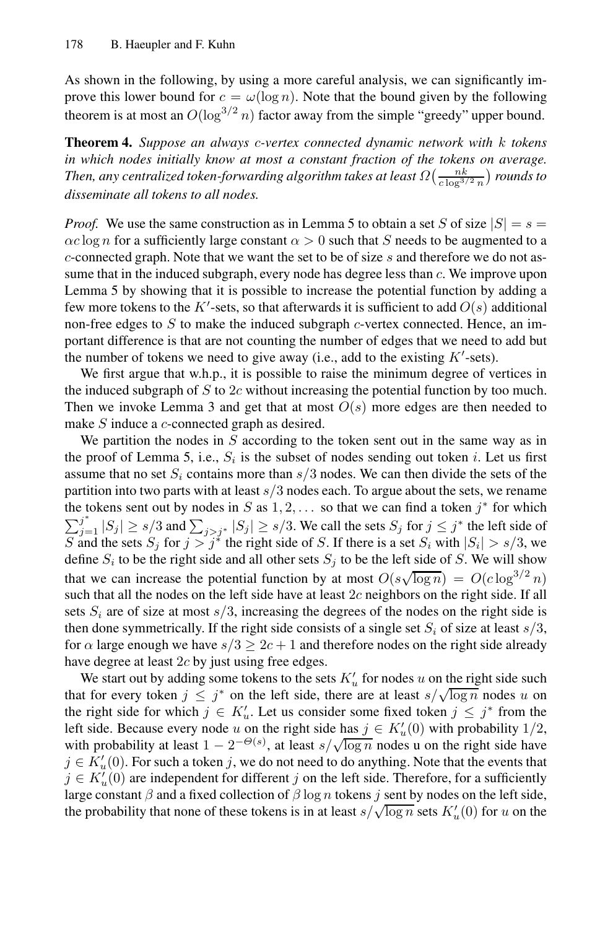As shown in the following, by using a more careful analysis, we can significantly improve this lower bound for  $c = \omega(\log n)$ . Note that the bound given by the following theorem is at most an  $O(\log^{3/2} n)$  factor away from the simple "greedy" upper bound.

**Theorem 4.** *Suppose an always* c*-vertex connected dynamic network with* k *tokens in which nodes initially know at most a constant fraction of the tokens on average.* Then, any centralized token-forwarding algorithm takes at least  $\varOmega\big(\frac{n k}{c\log^{3/2} n}\big)$  rounds to *disseminate all tokens to all nodes.*

*Proof.* We use the same construction as in Lemma [5](#page-10-2) to obtain a set S of size  $|S| = s$  $\alpha c \log n$  for a sufficiently large constant  $\alpha > 0$  such that S needs to be augmented to a  $c$ -connected graph. Note that we want the set to be of size  $s$  and therefore we do not assume that in the induced subgraph, every node has degree less than  $c$ . We improve upon Lemma [5](#page-10-2) by showing that it is possible to increase the potential function by adding a few more tokens to the  $K^{\prime}$ -sets, so that afterwards it is sufficient to add  $O(s)$  additional non-free edges to  $S$  to make the induced subgraph  $c$ -vertex connected. Hence, an important difference is that are not counting the number of edges that we need to add but the number of tokens we need to give away (i.e., add to the existing  $K'$ -sets).

We first argue that w.h.p., it is possible to raise the minimum degree of vertices in the induced subgraph of  $S$  to  $2c$  without increasing the potential function by too much. Then we invoke Lemma [3](#page-10-1) and get that at most  $O(s)$  more edges are then needed to make S induce a c-connected graph as desired.

We partition the nodes in  $S$  according to the token sent out in the same way as in the proof of Lemma [5,](#page-10-2) i.e.,  $S_i$  is the subset of nodes sending out token i. Let us first assume that no set  $S_i$  contains more than  $s/3$  nodes. We can then divide the sets of the partition into two parts with at least  $s/3$  nodes each. To argue about the sets, we rename the tokens sent out by nodes in S as  $1, 2, \ldots$  so that we can find a token  $j^*$  for which  $\sum_{j=1}^{j^*} |S_j| \ge s/3$  and  $\sum_{j > j^*} |S_j| \ge s/3$ . We call the sets  $S_j$  for  $j \le j^*$  the left side of S and the sets  $S_j$  for  $j>j^*$  the right side of S. If there is a set  $S_i$  with  $|S_i| > s/3$ , we define  $S_i$  to be the right side and all other sets  $S_j$  to be the left side of S. We will show that we can increase the potential function by at most  $O(s\sqrt{\log n}) = O(c\log^{3/2} n)$ such that all the nodes on the left side have at least 2c neighbors on the right side. If all sets  $S_i$  are of size at most  $s/3$ , increasing the degrees of the nodes on the right side is then done symmetrically. If the right side consists of a single set  $S_i$  of size at least  $s/3$ , for  $\alpha$  large enough we have  $s/3 \geq 2c + 1$  and therefore nodes on the right side already have degree at least 2c by just using free edges.

We start out by adding some tokens to the sets  $K'_u$  for nodes u on the right side such that for every token  $j \leq j^*$  on the left side, there are at least  $s/\sqrt{\log n}$  nodes u on the right side for which  $j \in K'_u$ . Let us consider some fixed token  $j \leq j^*$  from the left side. Because every node u on the right side has  $j \in K'_u(0)$  with probability  $1/2$ , with probability at least  $1 - 2^{-\Theta(s)}$ , at least  $s/\sqrt{\log n}$  nodes u on the right side have  $j \in K'_u(0)$ . For such a token j, we do not need to do anything. Note that the events that  $j \in K'_u(0)$  are independent for different j on the left side. Therefore, for a sufficiently large constant  $\beta$  and a fixed collection of  $\beta \log n$  tokens j sent by nodes on the left side, the probability that none of these tokens is in at least  $s/\sqrt{\log n}$  sets  $K'_u(0)$  for u on the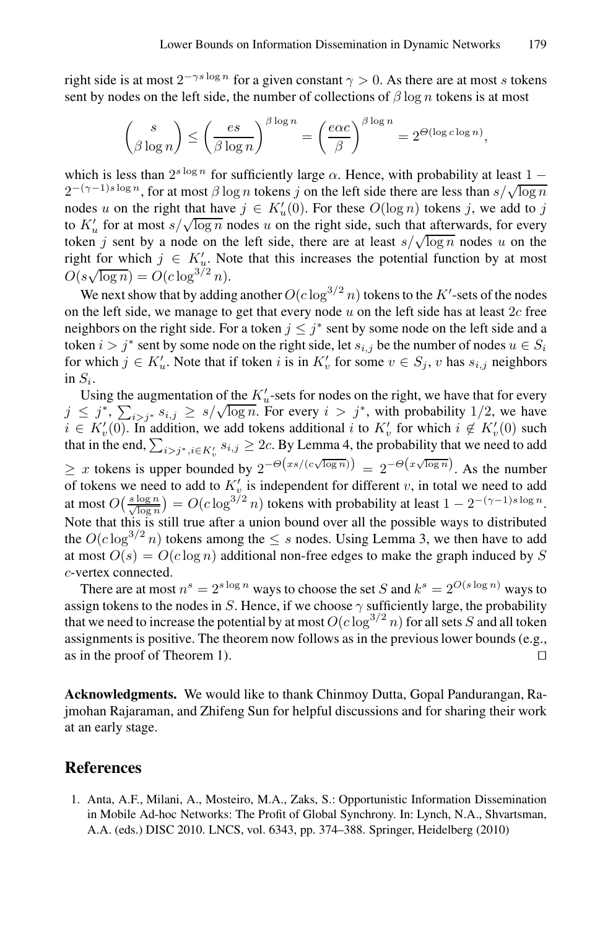right side is at most  $2^{-\gamma s \log n}$  for a given constant  $\gamma > 0$ . As there are at most s tokens sent by nodes on the left side, the number of collections of  $\beta \log n$  tokens is at most

$$
\binom{s}{\beta \log n} \le \left(\frac{es}{\beta \log n}\right)^{\beta \log n} = \left(\frac{e\alpha c}{\beta}\right)^{\beta \log n} = 2^{\Theta(\log c \log n)},
$$

which is less than  $2^{s \log n}$  for sufficiently large  $\alpha$ . Hence, with probability at least 1 −  $2^{-(\gamma-1)s \log n}$ , for at most  $\beta \log n$  tokens j on the left side there are less than  $s/\sqrt{\log n}$ nodes u on the right that have  $j \in K'_u(0)$ . For these  $O(\log n)$  tokens j, we add to j to  $K'_u$  for at most  $s/\sqrt{\log n}$  nodes u on the right side, such that afterwards, for every token j sent by a node on the left side, there are at least  $s/\sqrt{\log n}$  nodes u on the right for which  $j \in K'_u$ . Note that this increases the potential function by at most  $O(s\sqrt{\log n}) = O(c\log^{3/2} n).$ 

We next show that by adding another  $O(c \log^{3/2} n)$  tokens to the K'-sets of the nodes on the left side, we manage to get that every node  $u$  on the left side has at least  $2c$  free neighbors on the right side. For a token  $j \leq j^*$  sent by some node on the left side and a token  $i>j^*$  sent by some node on the right side, let  $s_{i,j}$  be the number of nodes  $u \in S_i$ for which  $j \in K'_u$ . Note that if token i is in  $K'_v$  for some  $v \in S_j$ , v has  $s_{i,j}$  neighbors in  $S_i$ .

Using the augmentation of the  $K'_u$ -sets for nodes on the right, we have that for every  $j \leq j^*, \sum_{i>j^*} s_{i,j} \geq s/\sqrt{\log n}$ . For every  $i > j^*$ , with probability 1/2, we have  $i \in K'_v(0)$ . In addition, we add tokens additional *i* to  $K'_v$  for which  $i \notin K'_v(0)$  such that in the end,  $\sum_{i>j^*, i \in K'_v} s_{i,j} \ge 2c$ . By Lemma [4,](#page-10-3) the probability that we need to add  $\geq x$  tokens is upper bounded by  $2^{-\Theta\left(xs/(c\sqrt{\log n})\right)} = 2^{-\Theta\left(x\sqrt{\log n}\right)}$ . As the number of tokens we need to add to  $K'_v$  is independent for different v, in total we need to add at most  $O(\frac{s \log n}{\sqrt{\log n}}) = O(c \log^{3/2} n)$  tokens with probability at least  $1 - 2^{-(\gamma - 1)s \log n}$ . Note that this is still true after a union bound over all the possible ways to distributed the  $O(c \log^{3/2} n)$  tokens among the  $\leq s$  nodes. Using Lemma [3,](#page-10-1) we then have to add at most  $O(s) = O(c \log n)$  additional non-free edges to make the graph induced by S c-vertex connected.

There are at most  $n^s = 2^{s \log n}$  ways to choose the set S and  $k^s = 2^{O(s \log n)}$  ways to assign tokens to the nodes in  $S$ . Hence, if we choose  $\gamma$  sufficiently large, the probability that we need to increase the potential by at most  $O(c\log^{3/2} n)$  for all sets  $S$  and all token assignments is positive. The theorem now follows as in the previous lower bounds (e.g., as in the proof of Theorem [1\)](#page-6-2).  $\Box$ 

<span id="page-13-0"></span>**Acknowledgments.** We would like to thank Chinmoy Dutta, Gopal Pandurangan, Rajmohan Rajaraman, and Zhifeng Sun for helpful discussions and for sharing their work at an early stage.

## **References**

1. Anta, A.F., Milani, A., Mosteiro, M.A., Zaks, S.: Opportunistic Information Dissemination in Mobile Ad-hoc Networks: The Profit of Global Synchrony. In: Lynch, N.A., Shvartsman, A.A. (eds.) DISC 2010. LNCS, vol. 6343, pp. 374–388. Springer, Heidelberg (2010)